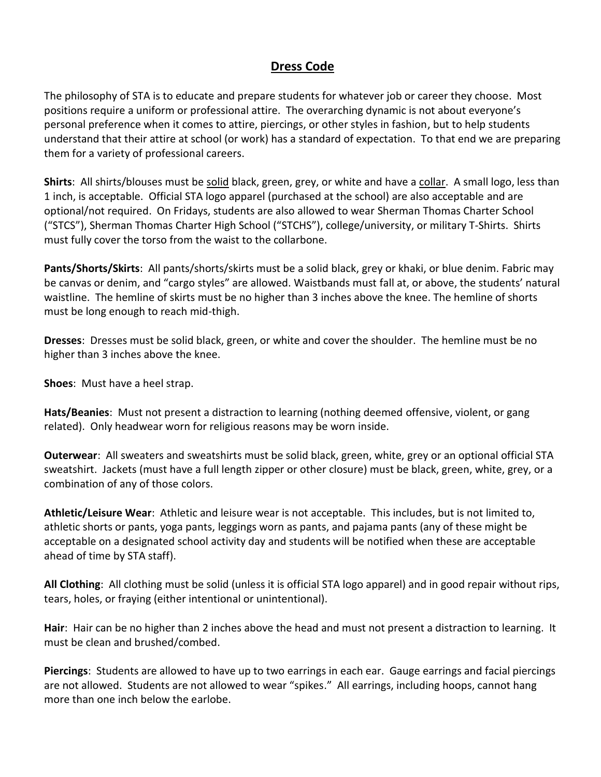## **Dress Code**

The philosophy of STA is to educate and prepare students for whatever job or career they choose. Most positions require a uniform or professional attire. The overarching dynamic is not about everyone's personal preference when it comes to attire, piercings, or other styles in fashion, but to help students understand that their attire at school (or work) has a standard of expectation. To that end we are preparing them for a variety of professional careers.

**Shirts**: All shirts/blouses must be solid black, green, grey, or white and have a collar. A small logo, less than 1 inch, is acceptable. Official STA logo apparel (purchased at the school) are also acceptable and are optional/not required. On Fridays, students are also allowed to wear Sherman Thomas Charter School ("STCS"), Sherman Thomas Charter High School ("STCHS"), college/university, or military T-Shirts. Shirts must fully cover the torso from the waist to the collarbone.

**Pants/Shorts/Skirts**: All pants/shorts/skirts must be a solid black, grey or khaki, or blue denim. Fabric may be canvas or denim, and "cargo styles" are allowed. Waistbands must fall at, or above, the students' natural waistline. The hemline of skirts must be no higher than 3 inches above the knee. The hemline of shorts must be long enough to reach mid-thigh.

**Dresses**: Dresses must be solid black, green, or white and cover the shoulder. The hemline must be no higher than 3 inches above the knee.

**Shoes**: Must have a heel strap.

**Hats/Beanies**: Must not present a distraction to learning (nothing deemed offensive, violent, or gang related). Only headwear worn for religious reasons may be worn inside.

**Outerwear**: All sweaters and sweatshirts must be solid black, green, white, grey or an optional official STA sweatshirt. Jackets (must have a full length zipper or other closure) must be black, green, white, grey, or a combination of any of those colors.

**Athletic/Leisure Wear**: Athletic and leisure wear is not acceptable. This includes, but is not limited to, athletic shorts or pants, yoga pants, leggings worn as pants, and pajama pants (any of these might be acceptable on a designated school activity day and students will be notified when these are acceptable ahead of time by STA staff).

**All Clothing**: All clothing must be solid (unless it is official STA logo apparel) and in good repair without rips, tears, holes, or fraying (either intentional or unintentional).

**Hair**: Hair can be no higher than 2 inches above the head and must not present a distraction to learning. It must be clean and brushed/combed.

**Piercings**: Students are allowed to have up to two earrings in each ear. Gauge earrings and facial piercings are not allowed. Students are not allowed to wear "spikes." All earrings, including hoops, cannot hang more than one inch below the earlobe.